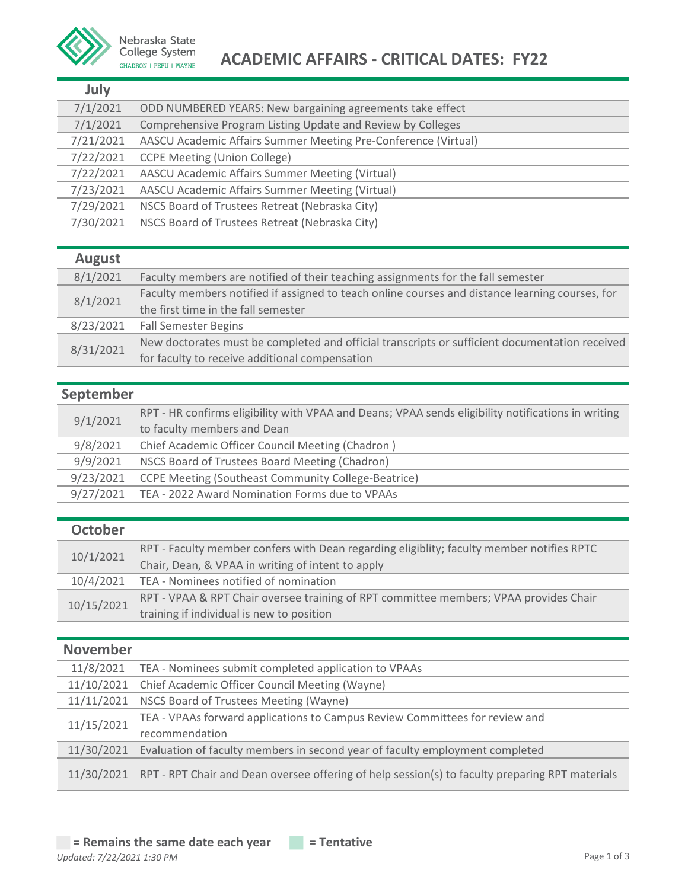

## Nebraska State<br>College System<br>CHADRON | PERU | WAYNE<br>**ACADEMIC AFFAIRS - CRITICAL DATES: FY22**

| July      |                                                                |
|-----------|----------------------------------------------------------------|
| 7/1/2021  | ODD NUMBERED YEARS: New bargaining agreements take effect      |
| 7/1/2021  | Comprehensive Program Listing Update and Review by Colleges    |
| 7/21/2021 | AASCU Academic Affairs Summer Meeting Pre-Conference (Virtual) |
| 7/22/2021 | <b>CCPE Meeting (Union College)</b>                            |
| 7/22/2021 | AASCU Academic Affairs Summer Meeting (Virtual)                |
| 7/23/2021 | AASCU Academic Affairs Summer Meeting (Virtual)                |
| 7/29/2021 | NSCS Board of Trustees Retreat (Nebraska City)                 |
| 7/30/2021 | NSCS Board of Trustees Retreat (Nebraska City)                 |
|           |                                                                |

| <b>August</b> |                                                                                                 |
|---------------|-------------------------------------------------------------------------------------------------|
| 8/1/2021      | Faculty members are notified of their teaching assignments for the fall semester                |
| 8/1/2021      | Faculty members notified if assigned to teach online courses and distance learning courses, for |
|               | the first time in the fall semester                                                             |
| 8/23/2021     | <b>Fall Semester Begins</b>                                                                     |
| 8/31/2021     | New doctorates must be completed and official transcripts or sufficient documentation received  |
|               | for faculty to receive additional compensation                                                  |

## **September**

| 9/1/2021  | RPT - HR confirms eligibility with VPAA and Deans; VPAA sends eligibility notifications in writing |
|-----------|----------------------------------------------------------------------------------------------------|
|           | to faculty members and Dean                                                                        |
| 9/8/2021  | Chief Academic Officer Council Meeting (Chadron)                                                   |
| 9/9/2021  | NSCS Board of Trustees Board Meeting (Chadron)                                                     |
| 9/23/2021 | <b>CCPE Meeting (Southeast Community College-Beatrice)</b>                                         |
| 9/27/2021 | TEA - 2022 Award Nomination Forms due to VPAAs                                                     |
|           |                                                                                                    |

### **October**

| 10/1/2021  | RPT - Faculty member confers with Dean regarding eligiblity; faculty member notifies RPTC |
|------------|-------------------------------------------------------------------------------------------|
|            | Chair, Dean, & VPAA in writing of intent to apply                                         |
| 10/4/2021  | TEA - Nominees notified of nomination                                                     |
| 10/15/2021 | RPT - VPAA & RPT Chair oversee training of RPT committee members; VPAA provides Chair     |
|            | training if individual is new to position                                                 |

## **November**

| 11/8/2021  | TEA - Nominees submit completed application to VPAAs                                                       |
|------------|------------------------------------------------------------------------------------------------------------|
|            | 11/10/2021 Chief Academic Officer Council Meeting (Wayne)                                                  |
| 11/11/2021 | NSCS Board of Trustees Meeting (Wayne)                                                                     |
| 11/15/2021 | TEA - VPAAs forward applications to Campus Review Committees for review and                                |
|            | recommendation                                                                                             |
| 11/30/2021 | Evaluation of faculty members in second year of faculty employment completed                               |
|            | 11/30/2021 RPT - RPT Chair and Dean oversee offering of help session(s) to faculty preparing RPT materials |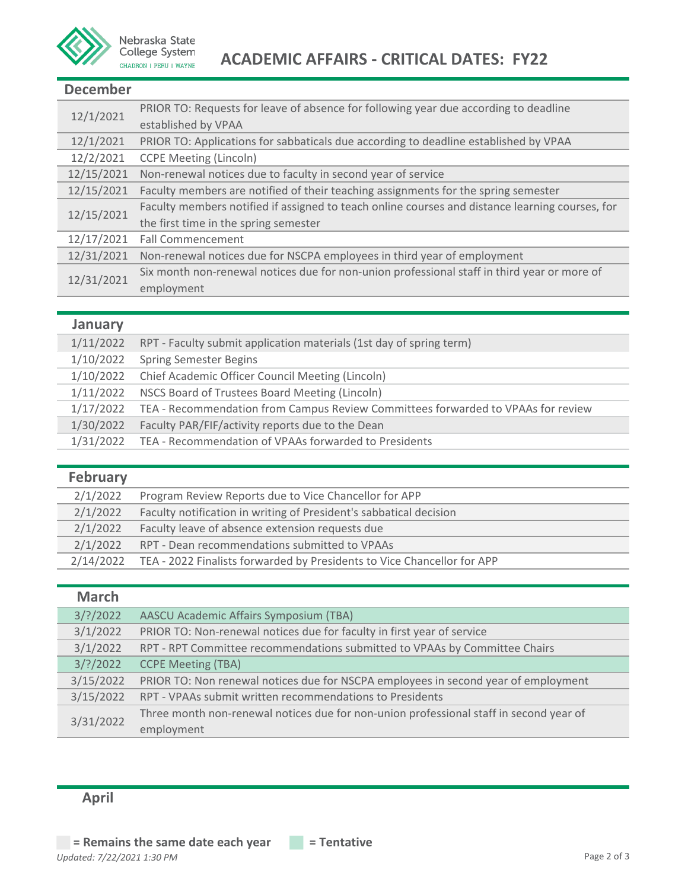

#### **December**

| 12/1/2021  | PRIOR TO: Requests for leave of absence for following year due according to deadline            |
|------------|-------------------------------------------------------------------------------------------------|
|            | established by VPAA                                                                             |
| 12/1/2021  | PRIOR TO: Applications for sabbaticals due according to deadline established by VPAA            |
| 12/2/2021  | <b>CCPE Meeting (Lincoln)</b>                                                                   |
| 12/15/2021 | Non-renewal notices due to faculty in second year of service                                    |
| 12/15/2021 | Faculty members are notified of their teaching assignments for the spring semester              |
| 12/15/2021 | Faculty members notified if assigned to teach online courses and distance learning courses, for |
|            | the first time in the spring semester                                                           |
| 12/17/2021 | <b>Fall Commencement</b>                                                                        |
| 12/31/2021 | Non-renewal notices due for NSCPA employees in third year of employment                         |
| 12/31/2021 | Six month non-renewal notices due for non-union professional staff in third year or more of     |
|            | employment                                                                                      |

#### **January**

l

| 1/11/2022 | RPT - Faculty submit application materials (1st day of spring term)              |
|-----------|----------------------------------------------------------------------------------|
| 1/10/2022 | <b>Spring Semester Begins</b>                                                    |
| 1/10/2022 | Chief Academic Officer Council Meeting (Lincoln)                                 |
| 1/11/2022 | NSCS Board of Trustees Board Meeting (Lincoln)                                   |
| 1/17/2022 | TEA - Recommendation from Campus Review Committees forwarded to VPAAs for review |
| 1/30/2022 | Faculty PAR/FIF/activity reports due to the Dean                                 |
| 1/31/2022 | TEA - Recommendation of VPAAs forwarded to Presidents                            |
|           |                                                                                  |

| <b>February</b> |                                                                         |
|-----------------|-------------------------------------------------------------------------|
| 2/1/2022        | Program Review Reports due to Vice Chancellor for APP                   |
| 2/1/2022        | Faculty notification in writing of President's sabbatical decision      |
| 2/1/2022        | Faculty leave of absence extension requests due                         |
| 2/1/2022        | RPT - Dean recommendations submitted to VPAAs                           |
| 2/14/2022       | TEA - 2022 Finalists forwarded by Presidents to Vice Chancellor for APP |

| <b>March</b> |                                                                                        |
|--------------|----------------------------------------------------------------------------------------|
| $3$ /?/2022  | AASCU Academic Affairs Symposium (TBA)                                                 |
| 3/1/2022     | PRIOR TO: Non-renewal notices due for faculty in first year of service                 |
| 3/1/2022     | RPT - RPT Committee recommendations submitted to VPAAs by Committee Chairs             |
| $3$ /?/2022  | <b>CCPE Meeting (TBA)</b>                                                              |
| 3/15/2022    | PRIOR TO: Non renewal notices due for NSCPA employees in second year of employment     |
| 3/15/2022    | RPT - VPAAs submit written recommendations to Presidents                               |
| 3/31/2022    | Three month non-renewal notices due for non-union professional staff in second year of |
|              | employment                                                                             |

## **April**